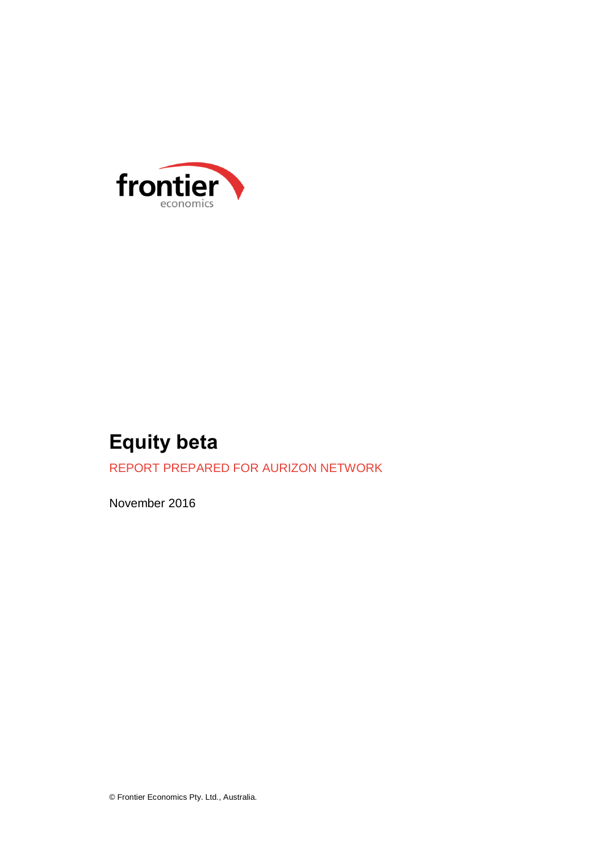

# **Equity beta**

REPORT PREPARED FOR AURIZON NETWORK

November 2016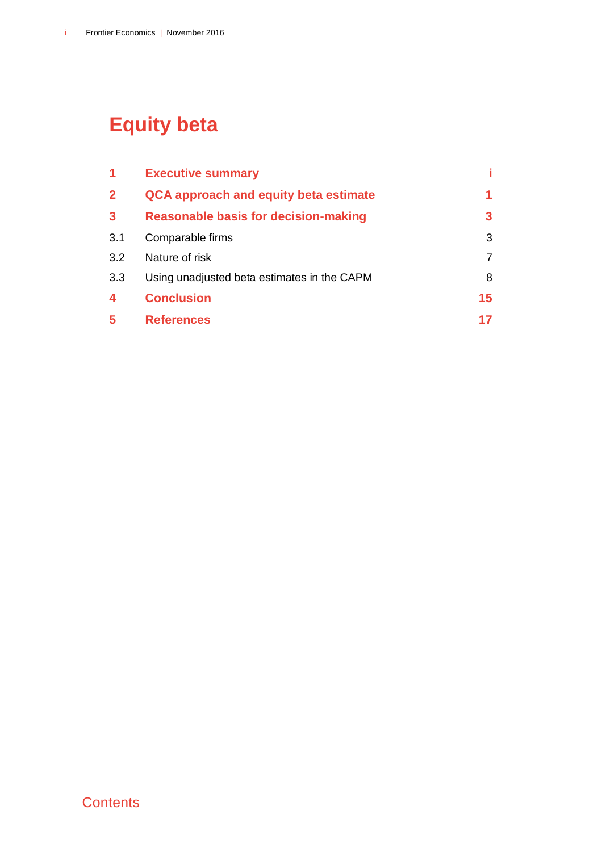# **Equity beta**

| 1              | <b>Executive summary</b>                    |    |
|----------------|---------------------------------------------|----|
| $\overline{2}$ | QCA approach and equity beta estimate       |    |
| 3              | <b>Reasonable basis for decision-making</b> | 3  |
| 3.1            | Comparable firms                            | 3  |
| 3.2            | Nature of risk                              | 7  |
| 3.3            | Using unadjusted beta estimates in the CAPM | 8  |
| 4              | <b>Conclusion</b>                           | 15 |
| 5              | <b>References</b>                           | 17 |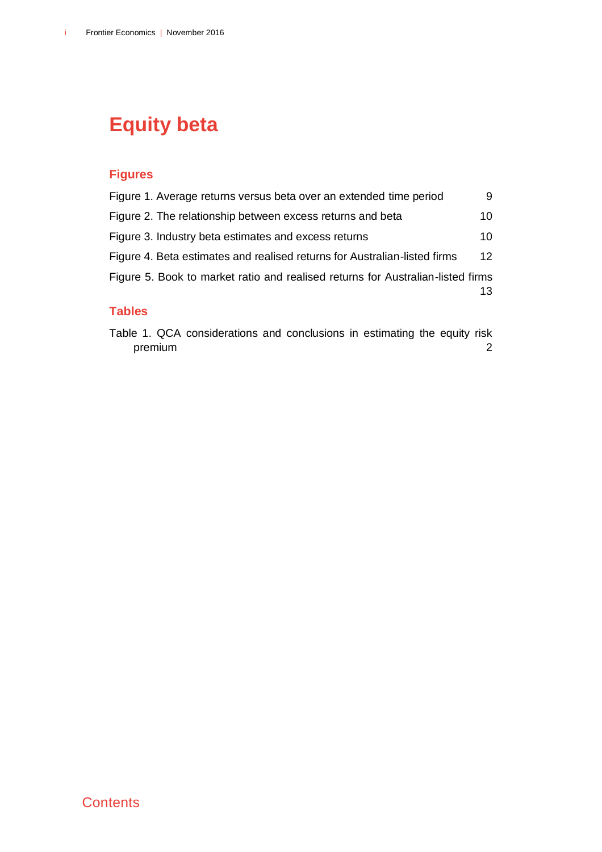# **Equity beta**

### **Figures**

| Figure 1. Average returns versus beta over an extended time period              | 9               |
|---------------------------------------------------------------------------------|-----------------|
| Figure 2. The relationship between excess returns and beta                      | 10              |
| Figure 3. Industry beta estimates and excess returns                            | 10              |
| Figure 4. Beta estimates and realised returns for Australian-listed firms       | 12 <sup>2</sup> |
| Figure 5. Book to market ratio and realised returns for Australian-listed firms | 13              |
|                                                                                 |                 |

#### **Tables**

[Table 1. QCA considerations and conclusions in estimating the equity risk](#page-9-0)  [premium](#page-9-0) 2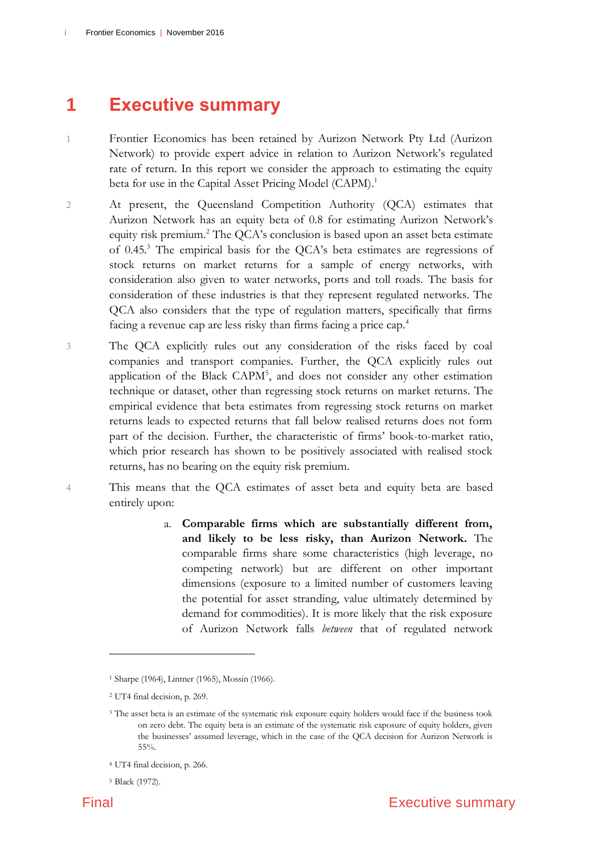### <span id="page-6-0"></span>**1 Executive summary**

- 1 Frontier Economics has been retained by Aurizon Network Pty Ltd (Aurizon Network) to provide expert advice in relation to Aurizon Network's regulated rate of return. In this report we consider the approach to estimating the equity beta for use in the Capital Asset Pricing Model (CAPM).<sup>1</sup>
- 2 At present, the Queensland Competition Authority (QCA) estimates that Aurizon Network has an equity beta of 0.8 for estimating Aurizon Network's equity risk premium.<sup>2</sup> The QCA's conclusion is based upon an asset beta estimate of 0.45.<sup>3</sup> The empirical basis for the QCA's beta estimates are regressions of stock returns on market returns for a sample of energy networks, with consideration also given to water networks, ports and toll roads. The basis for consideration of these industries is that they represent regulated networks. The QCA also considers that the type of regulation matters, specifically that firms facing a revenue cap are less risky than firms facing a price cap.<sup>4</sup>
- 3 The QCA explicitly rules out any consideration of the risks faced by coal companies and transport companies. Further, the QCA explicitly rules out application of the Black CAPM<sup>5</sup>, and does not consider any other estimation technique or dataset, other than regressing stock returns on market returns. The empirical evidence that beta estimates from regressing stock returns on market returns leads to expected returns that fall below realised returns does not form part of the decision. Further, the characteristic of firms' book-to-market ratio, which prior research has shown to be positively associated with realised stock returns, has no bearing on the equity risk premium.
- 4 This means that the QCA estimates of asset beta and equity beta are based entirely upon:
	- a. **Comparable firms which are substantially different from, and likely to be less risky, than Aurizon Network.** The comparable firms share some characteristics (high leverage, no competing network) but are different on other important dimensions (exposure to a limited number of customers leaving the potential for asset stranding, value ultimately determined by demand for commodities). It is more likely that the risk exposure of Aurizon Network falls *between* that of regulated network

<sup>1</sup> Sharpe (1964), Lintner (1965), Mossin (1966).

<sup>2</sup> UT4 final decision, p. 269.

<sup>3</sup> The asset beta is an estimate of the systematic risk exposure equity holders would face if the business took on zero debt. The equity beta is an estimate of the systematic risk exposure of equity holders, given the businesses' assumed leverage, which in the case of the QCA decision for Aurizon Network is 55%.

<sup>4</sup> UT4 final decision, p. 266.

<sup>5</sup> Black (1972).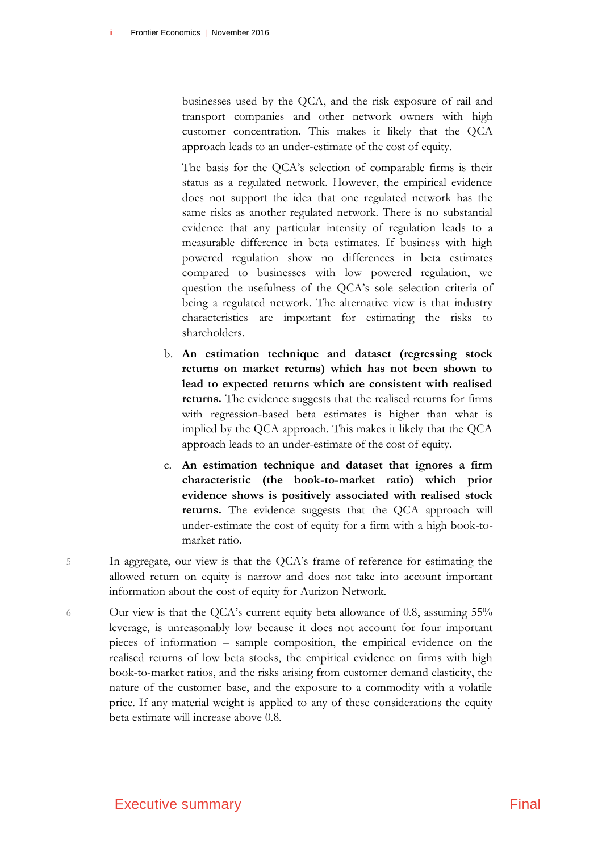businesses used by the QCA, and the risk exposure of rail and transport companies and other network owners with high customer concentration. This makes it likely that the QCA approach leads to an under-estimate of the cost of equity.

The basis for the QCA's selection of comparable firms is their status as a regulated network. However, the empirical evidence does not support the idea that one regulated network has the same risks as another regulated network. There is no substantial evidence that any particular intensity of regulation leads to a measurable difference in beta estimates. If business with high powered regulation show no differences in beta estimates compared to businesses with low powered regulation, we question the usefulness of the QCA's sole selection criteria of being a regulated network. The alternative view is that industry characteristics are important for estimating the risks to shareholders.

- b. **An estimation technique and dataset (regressing stock returns on market returns) which has not been shown to lead to expected returns which are consistent with realised returns.** The evidence suggests that the realised returns for firms with regression-based beta estimates is higher than what is implied by the QCA approach. This makes it likely that the QCA approach leads to an under-estimate of the cost of equity.
- c. **An estimation technique and dataset that ignores a firm characteristic (the book-to-market ratio) which prior evidence shows is positively associated with realised stock returns.** The evidence suggests that the QCA approach will under-estimate the cost of equity for a firm with a high book-tomarket ratio.
- 5 In aggregate, our view is that the QCA's frame of reference for estimating the allowed return on equity is narrow and does not take into account important information about the cost of equity for Aurizon Network.
- 6 Our view is that the QCA's current equity beta allowance of 0.8, assuming 55% leverage, is unreasonably low because it does not account for four important pieces of information – sample composition, the empirical evidence on the realised returns of low beta stocks, the empirical evidence on firms with high book-to-market ratios, and the risks arising from customer demand elasticity, the nature of the customer base, and the exposure to a commodity with a volatile price. If any material weight is applied to any of these considerations the equity beta estimate will increase above 0.8.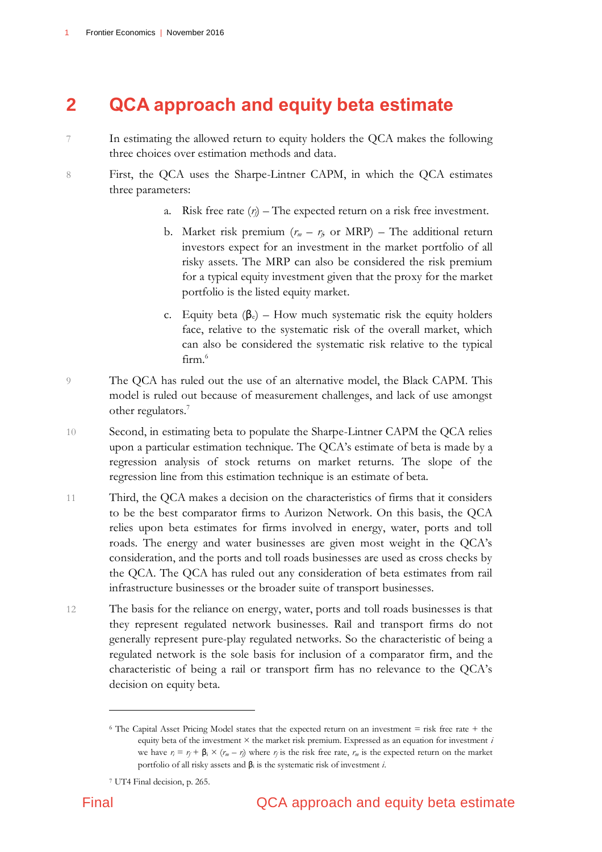## <span id="page-8-0"></span>**2 QCA approach and equity beta estimate**

- 7 In estimating the allowed return to equity holders the QCA makes the following three choices over estimation methods and data.
- 8 First, the QCA uses the Sharpe-Lintner CAPM, in which the QCA estimates three parameters:
	- a. Risk free rate  $(r)$  The expected return on a risk free investment.
	- b. Market risk premium  $(r_m r_f)$  or MRP) The additional return investors expect for an investment in the market portfolio of all risky assets. The MRP can also be considered the risk premium for a typical equity investment given that the proxy for the market portfolio is the listed equity market.
	- c. Equity beta  $(\beta_e)$  How much systematic risk the equity holders face, relative to the systematic risk of the overall market, which can also be considered the systematic risk relative to the typical firm.<sup>6</sup>
- 9 The QCA has ruled out the use of an alternative model, the Black CAPM. This model is ruled out because of measurement challenges, and lack of use amongst other regulators.<sup>7</sup>
- 10 Second, in estimating beta to populate the Sharpe-Lintner CAPM the QCA relies upon a particular estimation technique. The QCA's estimate of beta is made by a regression analysis of stock returns on market returns. The slope of the regression line from this estimation technique is an estimate of beta.
- 11 Third, the QCA makes a decision on the characteristics of firms that it considers to be the best comparator firms to Aurizon Network. On this basis, the QCA relies upon beta estimates for firms involved in energy, water, ports and toll roads. The energy and water businesses are given most weight in the QCA's consideration, and the ports and toll roads businesses are used as cross checks by the QCA. The QCA has ruled out any consideration of beta estimates from rail infrastructure businesses or the broader suite of transport businesses.
- 12 The basis for the reliance on energy, water, ports and toll roads businesses is that they represent regulated network businesses. Rail and transport firms do not generally represent pure-play regulated networks. So the characteristic of being a regulated network is the sole basis for inclusion of a comparator firm, and the characteristic of being a rail or transport firm has no relevance to the QCA's decision on equity beta.

<sup>6</sup> The Capital Asset Pricing Model states that the expected return on an investment = risk free rate + the equity beta of the investment × the market risk premium. Expressed as an equation for investment *i* we have  $r_i = r_f + \beta_i \times (r_m - r_i)$  where  $r_i$  is the risk free rate,  $r_m$  is the expected return on the market portfolio of all risky assets and β<sup>i</sup> is the systematic risk of investment *i*.

<sup>7</sup> UT4 Final decision, p. 265.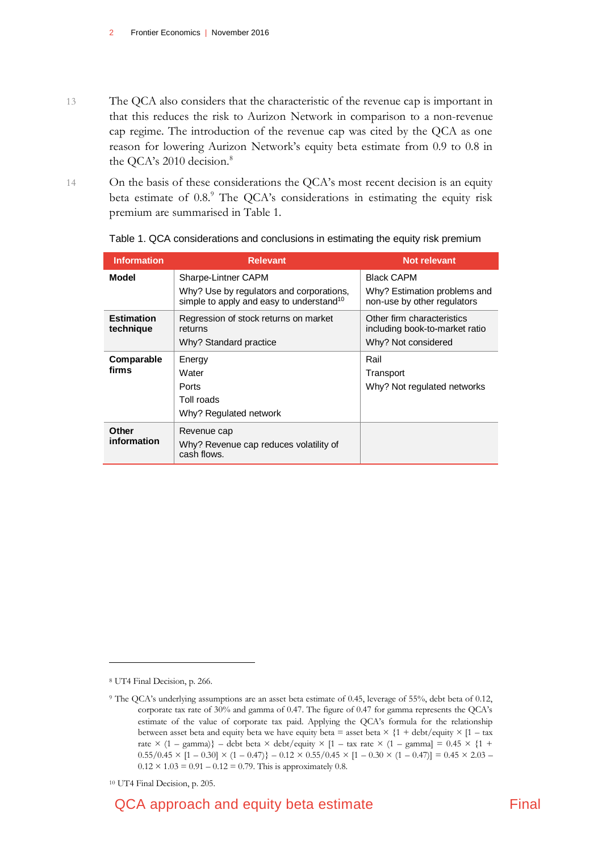- 13 The QCA also considers that the characteristic of the revenue cap is important in that this reduces the risk to Aurizon Network in comparison to a non-revenue cap regime. The introduction of the revenue cap was cited by the QCA as one reason for lowering Aurizon Network's equity beta estimate from 0.9 to 0.8 in the QCA's 2010 decision.<sup>8</sup>
- 14 On the basis of these considerations the QCA's most recent decision is an equity beta estimate of 0.8.9 The QCA's considerations in estimating the equity risk premium are summarised in Table 1.

| <b>Information</b>             | <b>Relevant</b>                                                                                  | Not relevant                                                                        |  |  |  |
|--------------------------------|--------------------------------------------------------------------------------------------------|-------------------------------------------------------------------------------------|--|--|--|
| Model                          | Sharpe-Lintner CAPM                                                                              | <b>Black CAPM</b>                                                                   |  |  |  |
|                                | Why? Use by regulators and corporations,<br>simple to apply and easy to understand <sup>10</sup> | Why? Estimation problems and<br>non-use by other regulators                         |  |  |  |
| <b>Estimation</b><br>technique | Regression of stock returns on market<br>returns<br>Why? Standard practice                       | Other firm characteristics<br>including book-to-market ratio<br>Why? Not considered |  |  |  |
| Comparable<br>firms            | Energy<br>Water<br>Ports<br>Toll roads<br>Why? Regulated network                                 | Rail<br>Transport<br>Why? Not regulated networks                                    |  |  |  |
| Other<br>information           | Revenue cap<br>Why? Revenue cap reduces volatility of<br>cash flows.                             |                                                                                     |  |  |  |

<span id="page-9-0"></span>

|  | Table 1. QCA considerations and conclusions in estimating the equity risk premium |  |  |  |  |
|--|-----------------------------------------------------------------------------------|--|--|--|--|
|  |                                                                                   |  |  |  |  |

<sup>8</sup> UT4 Final Decision, p. 266.

<sup>9</sup> The QCA's underlying assumptions are an asset beta estimate of 0.45, leverage of 55%, debt beta of 0.12, corporate tax rate of 30% and gamma of 0.47. The figure of 0.47 for gamma represents the QCA's estimate of the value of corporate tax paid. Applying the QCA's formula for the relationship between asset beta and equity beta we have equity beta = asset beta  $\times$  {1 + debt/equity  $\times$  [1 – tax rate  $\times$  (1 – gamma)} – debt beta  $\times$  debt/equity  $\times$  [1 – tax rate  $\times$  (1 – gamma] = 0.45  $\times$  {1 +  $0.55/0.45 \times [1 - 0.30] \times (1 - 0.47)$   $- 0.12 \times 0.55/0.45 \times [1 - 0.30 \times (1 - 0.47)] = 0.45 \times 2.03$  $0.12 \times 1.03 = 0.91 - 0.12 = 0.79$ . This is approximately 0.8.

<sup>10</sup> UT4 Final Decision, p. 205.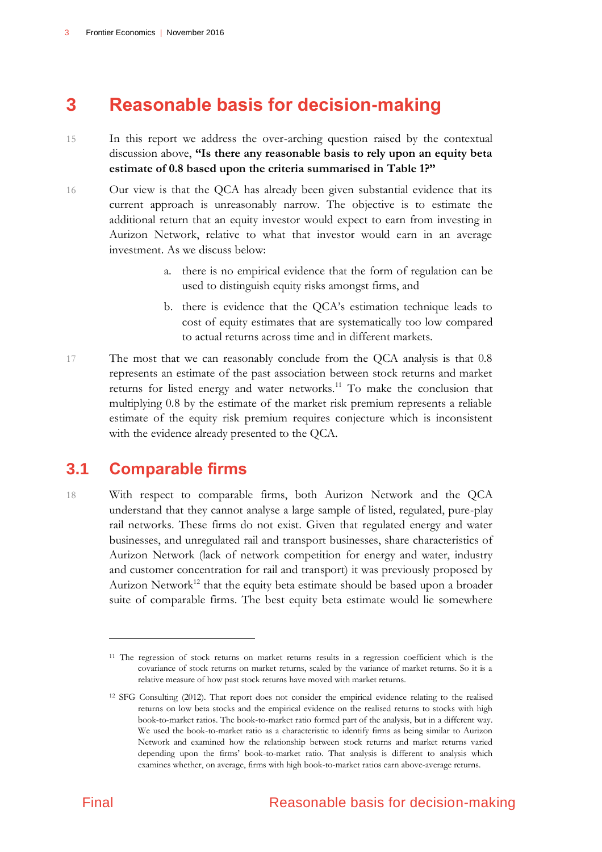### <span id="page-10-0"></span>**3 Reasonable basis for decision-making**

- 15 In this report we address the over-arching question raised by the contextual discussion above, **"Is there any reasonable basis to rely upon an equity beta estimate of 0.8 based upon the criteria summarised in Table 1?"**
- 16 Our view is that the QCA has already been given substantial evidence that its current approach is unreasonably narrow. The objective is to estimate the additional return that an equity investor would expect to earn from investing in Aurizon Network, relative to what that investor would earn in an average investment. As we discuss below:
	- a. there is no empirical evidence that the form of regulation can be used to distinguish equity risks amongst firms, and
	- b. there is evidence that the QCA's estimation technique leads to cost of equity estimates that are systematically too low compared to actual returns across time and in different markets.
- 17 The most that we can reasonably conclude from the QCA analysis is that 0.8 represents an estimate of the past association between stock returns and market returns for listed energy and water networks.<sup>11</sup> To make the conclusion that multiplying 0.8 by the estimate of the market risk premium represents a reliable estimate of the equity risk premium requires conjecture which is inconsistent with the evidence already presented to the QCA.

### <span id="page-10-1"></span>**3.1 Comparable firms**

18 With respect to comparable firms, both Aurizon Network and the QCA understand that they cannot analyse a large sample of listed, regulated, pure-play rail networks. These firms do not exist. Given that regulated energy and water businesses, and unregulated rail and transport businesses, share characteristics of Aurizon Network (lack of network competition for energy and water, industry and customer concentration for rail and transport) it was previously proposed by Aurizon Network<sup>12</sup> that the equity beta estimate should be based upon a broader suite of comparable firms. The best equity beta estimate would lie somewhere

<sup>11</sup> The regression of stock returns on market returns results in a regression coefficient which is the covariance of stock returns on market returns, scaled by the variance of market returns. So it is a relative measure of how past stock returns have moved with market returns.

<sup>12</sup> SFG Consulting (2012). That report does not consider the empirical evidence relating to the realised returns on low beta stocks and the empirical evidence on the realised returns to stocks with high book-to-market ratios. The book-to-market ratio formed part of the analysis, but in a different way. We used the book-to-market ratio as a characteristic to identify firms as being similar to Aurizon Network and examined how the relationship between stock returns and market returns varied depending upon the firms' book-to-market ratio. That analysis is different to analysis which examines whether, on average, firms with high book-to-market ratios earn above-average returns.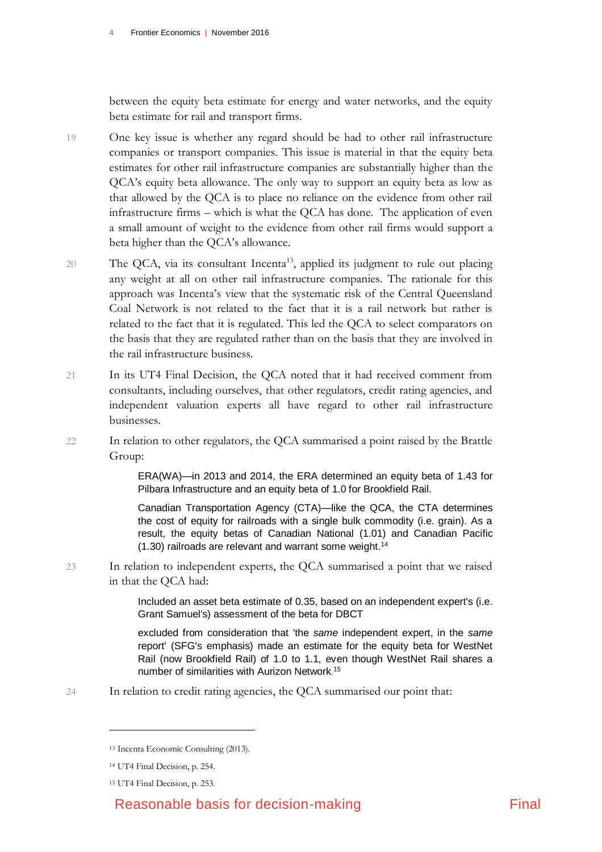between the equity beta estimate for energy and water networks, and the equity beta estimate for rail and transport firms.

- 19 One key issue is whether any regard should be had to other rail infrastructure companies or transport companies. This issue is material in that the equity beta estimates for other rail infrastructure companies are substantially higher than the QCA's equity beta allowance. The only way to support an equity beta as low as that allowed by the QCA is to place no reliance on the evidence from other rail infrastructure firms – which is what the QCA has done. The application of even a small amount of weight to the evidence from other rail firms would support a beta higher than the QCA's allowance.
- 20 The QCA, via its consultant Incenta<sup>13</sup>, applied its judgment to rule out placing any weight at all on other rail infrastructure companies. The rationale for this approach was Incenta's view that the systematic risk of the Central Queensland Coal Network is not related to the fact that it is a rail network but rather is related to the fact that it is regulated. This led the QCA to select comparators on the basis that they are regulated rather than on the basis that they are involved in the rail infrastructure business.
- 21 In its UT4 Final Decision, the QCA noted that it had received comment from consultants, including ourselves, that other regulators, credit rating agencies, and independent valuation experts all have regard to other rail infrastructure businesses.
- 22 In relation to other regulators, the QCA summarised a point raised by the Brattle Group:

ERA(WA)—in 2013 and 2014, the ERA determined an equity beta of 1.43 for Pilbara Infrastructure and an equity beta of 1.0 for Brookfield Rail.

Canadian Transportation Agency (CTA)—like the QCA, the CTA determines the cost of equity for railroads with a single bulk commodity (i.e. grain). As a result, the equity betas of Canadian National (1.01) and Canadian Pacific  $(1.30)$  railroads are relevant and warrant some weight.<sup>14</sup>

23 In relation to independent experts, the QCA summarised a point that we raised in that the QCA had:

> Included an asset beta estimate of 0.35, based on an independent expert's (i.e. Grant Samuel's) assessment of the beta for DBCT

> excluded from consideration that 'the *same* independent expert, in the *same*  report' (SFG's emphasis) made an estimate for the equity beta for WestNet Rail (now Brookfield Rail) of 1.0 to 1.1, even though WestNet Rail shares a number of similarities with Aurizon Network. 15

24 In relation to credit rating agencies, the QCA summarised our point that:

<sup>13</sup> Incenta Economic Consulting (2013).

<sup>14</sup> UT4 Final Decision, p. 254.

<sup>15</sup> UT4 Final Decision, p. 253.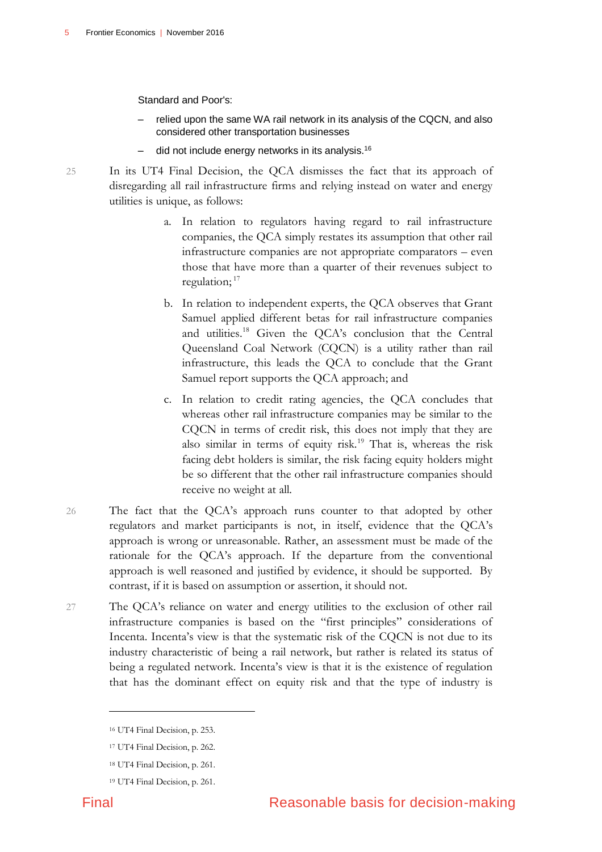Standard and Poor's:

- relied upon the same WA rail network in its analysis of the CQCN, and also considered other transportation businesses
- did not include energy networks in its analysis. 16

25 In its UT4 Final Decision, the QCA dismisses the fact that its approach of disregarding all rail infrastructure firms and relying instead on water and energy utilities is unique, as follows:

- a. In relation to regulators having regard to rail infrastructure companies, the QCA simply restates its assumption that other rail infrastructure companies are not appropriate comparators – even those that have more than a quarter of their revenues subject to regulation;<sup>17</sup>
- b. In relation to independent experts, the QCA observes that Grant Samuel applied different betas for rail infrastructure companies and utilities. <sup>18</sup> Given the QCA's conclusion that the Central Queensland Coal Network (CQCN) is a utility rather than rail infrastructure, this leads the QCA to conclude that the Grant Samuel report supports the QCA approach; and
- c. In relation to credit rating agencies, the QCA concludes that whereas other rail infrastructure companies may be similar to the CQCN in terms of credit risk, this does not imply that they are also similar in terms of equity risk.<sup>19</sup> That is, whereas the risk facing debt holders is similar, the risk facing equity holders might be so different that the other rail infrastructure companies should receive no weight at all.
- 26 The fact that the QCA's approach runs counter to that adopted by other regulators and market participants is not, in itself, evidence that the QCA's approach is wrong or unreasonable. Rather, an assessment must be made of the rationale for the QCA's approach. If the departure from the conventional approach is well reasoned and justified by evidence, it should be supported. By contrast, if it is based on assumption or assertion, it should not.
- 27 The QCA's reliance on water and energy utilities to the exclusion of other rail infrastructure companies is based on the "first principles" considerations of Incenta. Incenta's view is that the systematic risk of the CQCN is not due to its industry characteristic of being a rail network, but rather is related its status of being a regulated network. Incenta's view is that it is the existence of regulation that has the dominant effect on equity risk and that the type of industry is

<sup>16</sup> UT4 Final Decision, p. 253.

<sup>17</sup> UT4 Final Decision, p. 262.

<sup>18</sup> UT4 Final Decision, p. 261.

<sup>19</sup> UT4 Final Decision, p. 261.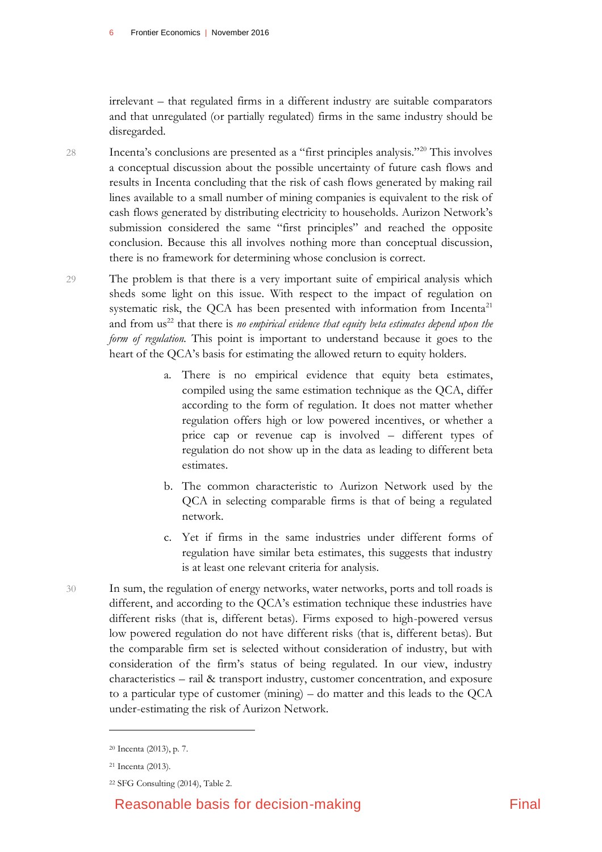irrelevant – that regulated firms in a different industry are suitable comparators and that unregulated (or partially regulated) firms in the same industry should be disregarded.

28 Incenta's conclusions are presented as a "first principles analysis."<sup>20</sup> This involves a conceptual discussion about the possible uncertainty of future cash flows and results in Incenta concluding that the risk of cash flows generated by making rail lines available to a small number of mining companies is equivalent to the risk of cash flows generated by distributing electricity to households. Aurizon Network's submission considered the same "first principles" and reached the opposite conclusion. Because this all involves nothing more than conceptual discussion, there is no framework for determining whose conclusion is correct.

29 The problem is that there is a very important suite of empirical analysis which sheds some light on this issue. With respect to the impact of regulation on systematic risk, the QCA has been presented with information from Incenta<sup>21</sup> and from us<sup>22</sup> that there is *no empirical evidence that equity beta estimates depend upon the form of regulation.* This point is important to understand because it goes to the heart of the QCA's basis for estimating the allowed return to equity holders.

- a. There is no empirical evidence that equity beta estimates, compiled using the same estimation technique as the QCA, differ according to the form of regulation. It does not matter whether regulation offers high or low powered incentives, or whether a price cap or revenue cap is involved – different types of regulation do not show up in the data as leading to different beta estimates.
- b. The common characteristic to Aurizon Network used by the QCA in selecting comparable firms is that of being a regulated network.
- c. Yet if firms in the same industries under different forms of regulation have similar beta estimates, this suggests that industry is at least one relevant criteria for analysis.
- 30 In sum, the regulation of energy networks, water networks, ports and toll roads is different, and according to the QCA's estimation technique these industries have different risks (that is, different betas). Firms exposed to high-powered versus low powered regulation do not have different risks (that is, different betas). But the comparable firm set is selected without consideration of industry, but with consideration of the firm's status of being regulated. In our view, industry characteristics – rail & transport industry, customer concentration, and exposure to a particular type of customer (mining) – do matter and this leads to the QCA under-estimating the risk of Aurizon Network.

<sup>20</sup> Incenta (2013), p. 7.

<sup>21</sup> Incenta (2013).

<sup>22</sup> SFG Consulting (2014), Table 2.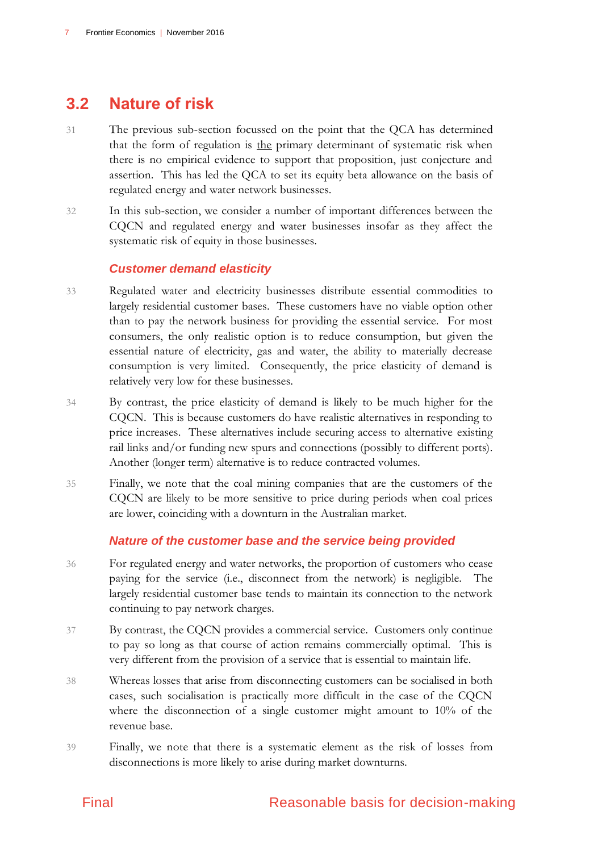### <span id="page-14-0"></span>**3.2 Nature of risk**

- 31 The previous sub-section focussed on the point that the QCA has determined that the form of regulation is the primary determinant of systematic risk when there is no empirical evidence to support that proposition, just conjecture and assertion. This has led the QCA to set its equity beta allowance on the basis of regulated energy and water network businesses.
- 32 In this sub-section, we consider a number of important differences between the CQCN and regulated energy and water businesses insofar as they affect the systematic risk of equity in those businesses.

#### *Customer demand elasticity*

- 33 Regulated water and electricity businesses distribute essential commodities to largely residential customer bases. These customers have no viable option other than to pay the network business for providing the essential service. For most consumers, the only realistic option is to reduce consumption, but given the essential nature of electricity, gas and water, the ability to materially decrease consumption is very limited. Consequently, the price elasticity of demand is relatively very low for these businesses.
- 34 By contrast, the price elasticity of demand is likely to be much higher for the CQCN. This is because customers do have realistic alternatives in responding to price increases. These alternatives include securing access to alternative existing rail links and/or funding new spurs and connections (possibly to different ports). Another (longer term) alternative is to reduce contracted volumes.
- 35 Finally, we note that the coal mining companies that are the customers of the CQCN are likely to be more sensitive to price during periods when coal prices are lower, coinciding with a downturn in the Australian market.

#### *Nature of the customer base and the service being provided*

- 36 For regulated energy and water networks, the proportion of customers who cease paying for the service (i.e., disconnect from the network) is negligible. The largely residential customer base tends to maintain its connection to the network continuing to pay network charges.
- 37 By contrast, the CQCN provides a commercial service. Customers only continue to pay so long as that course of action remains commercially optimal. This is very different from the provision of a service that is essential to maintain life.
- 38 Whereas losses that arise from disconnecting customers can be socialised in both cases, such socialisation is practically more difficult in the case of the CQCN where the disconnection of a single customer might amount to 10% of the revenue base.
- 39 Finally, we note that there is a systematic element as the risk of losses from disconnections is more likely to arise during market downturns.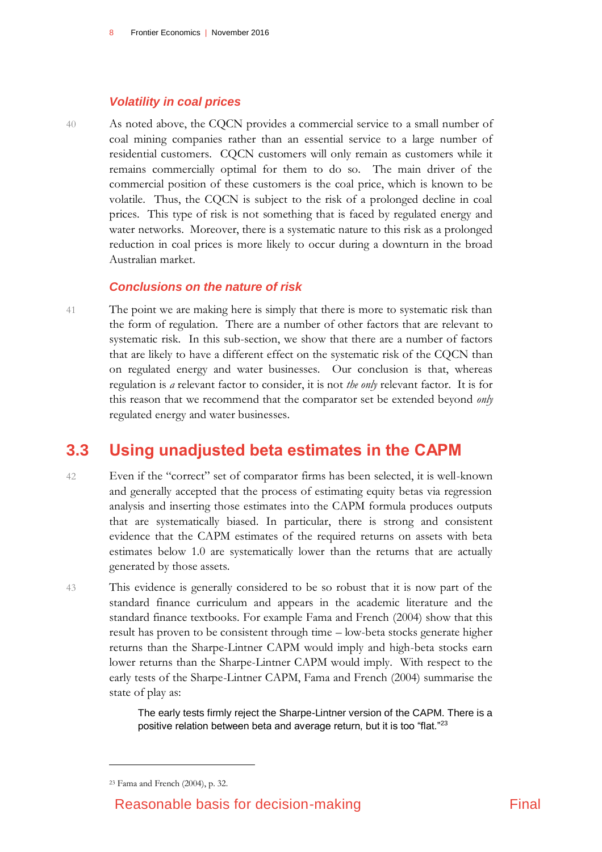#### *Volatility in coal prices*

40 As noted above, the CQCN provides a commercial service to a small number of coal mining companies rather than an essential service to a large number of residential customers. CQCN customers will only remain as customers while it remains commercially optimal for them to do so. The main driver of the commercial position of these customers is the coal price, which is known to be volatile. Thus, the CQCN is subject to the risk of a prolonged decline in coal prices. This type of risk is not something that is faced by regulated energy and water networks. Moreover, there is a systematic nature to this risk as a prolonged reduction in coal prices is more likely to occur during a downturn in the broad Australian market.

#### *Conclusions on the nature of risk*

41 The point we are making here is simply that there is more to systematic risk than the form of regulation. There are a number of other factors that are relevant to systematic risk. In this sub-section, we show that there are a number of factors that are likely to have a different effect on the systematic risk of the CQCN than on regulated energy and water businesses. Our conclusion is that, whereas regulation is *a* relevant factor to consider, it is not *the only* relevant factor. It is for this reason that we recommend that the comparator set be extended beyond *only* regulated energy and water businesses.

### <span id="page-15-0"></span>**3.3 Using unadjusted beta estimates in the CAPM**

- 42 Even if the "correct" set of comparator firms has been selected, it is well-known and generally accepted that the process of estimating equity betas via regression analysis and inserting those estimates into the CAPM formula produces outputs that are systematically biased. In particular, there is strong and consistent evidence that the CAPM estimates of the required returns on assets with beta estimates below 1.0 are systematically lower than the returns that are actually generated by those assets.
- 43 This evidence is generally considered to be so robust that it is now part of the standard finance curriculum and appears in the academic literature and the standard finance textbooks. For example Fama and French (2004) show that this result has proven to be consistent through time – low-beta stocks generate higher returns than the Sharpe-Lintner CAPM would imply and high-beta stocks earn lower returns than the Sharpe-Lintner CAPM would imply. With respect to the early tests of the Sharpe-Lintner CAPM, Fama and French (2004) summarise the state of play as:

The early tests firmly reject the Sharpe-Lintner version of the CAPM. There is a positive relation between beta and average return, but it is too "flat."<sup>23</sup>

<sup>23</sup> Fama and French (2004), p. 32.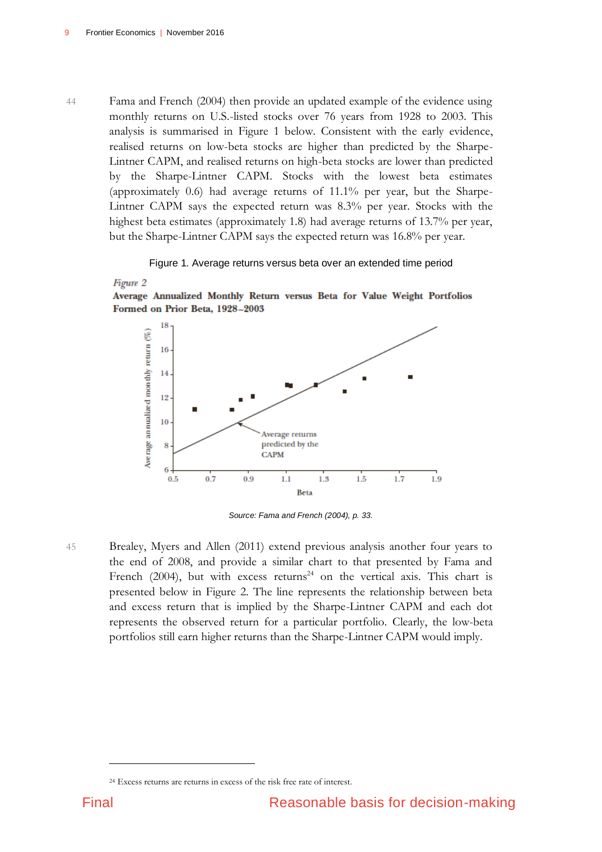44 Fama and French (2004) then provide an updated example of the evidence using monthly returns on U.S.-listed stocks over 76 years from 1928 to 2003. This analysis is summarised in Figure 1 below. Consistent with the early evidence, realised returns on low-beta stocks are higher than predicted by the Sharpe-Lintner CAPM, and realised returns on high-beta stocks are lower than predicted by the Sharpe-Lintner CAPM. Stocks with the lowest beta estimates (approximately 0.6) had average returns of 11.1% per year, but the Sharpe-Lintner CAPM says the expected return was 8.3% per year. Stocks with the highest beta estimates (approximately 1.8) had average returns of 13.7% per year, but the Sharpe-Lintner CAPM says the expected return was 16.8% per year.

#### Figure 1. Average returns versus beta over an extended time period

<span id="page-16-0"></span>

Average Annualized Monthly Return versus Beta for Value Weight Portfolios Formed on Prior Beta, 1928-2003



*Source: Fama and French (2004), p. 33.*

- 
- 45 Brealey, Myers and Allen (2011) extend previous analysis another four years to the end of 2008, and provide a similar chart to that presented by Fama and French (2004), but with excess returns<sup>24</sup> on the vertical axis. This chart is presented below in Figure 2. The line represents the relationship between beta and excess return that is implied by the Sharpe-Lintner CAPM and each dot represents the observed return for a particular portfolio. Clearly, the low-beta portfolios still earn higher returns than the Sharpe-Lintner CAPM would imply.

<sup>24</sup> Excess returns are returns in excess of the risk free rate of interest.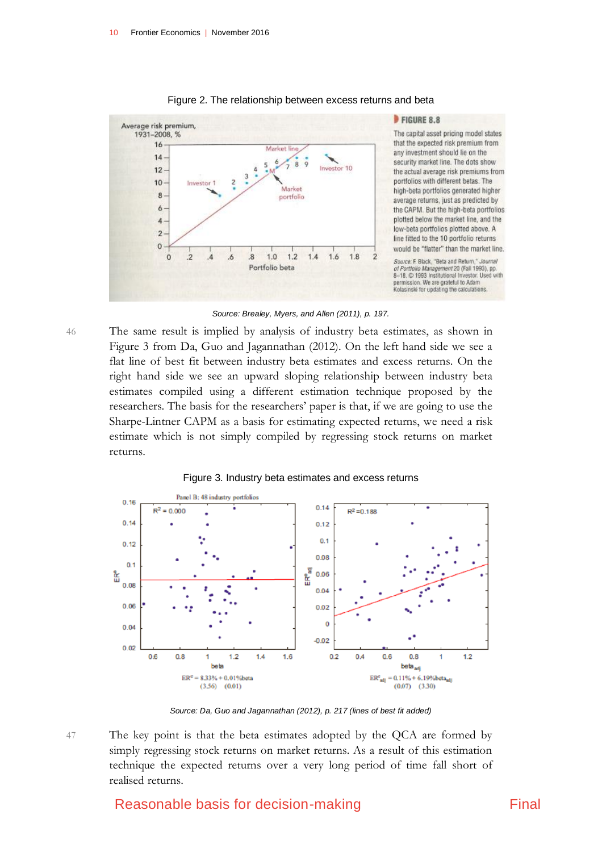<span id="page-17-0"></span>

#### Figure 2. The relationship between excess returns and beta

FIGURE 8.8

The capital asset pricing model states that the expected risk premium from any investment should lie on the security market line. The dots show the actual average risk premiums from portfolios with different betas. The high-beta portfolios generated higher average returns, just as predicted by the CAPM. But the high-beta portfolios plotted below the market line, and the low-beta portfolios plotted above. A line fitted to the 10 portfolio returns would be "flatter" than the market line.

Source: F. Black, "Beta and Return," Journal of Portfolio Management 20 (Fall 1993), pp.<br>8-18. @ 1993 Institutional Investor. Used with permission. We are grateful to Adam<br>Kolasinski for updating the calculations.

*Source: Brealey, Myers, and Allen (2011), p. 197.*

46 The same result is implied by analysis of industry beta estimates, as shown in Figure 3 from Da, Guo and Jagannathan (2012). On the left hand side we see a flat line of best fit between industry beta estimates and excess returns. On the right hand side we see an upward sloping relationship between industry beta estimates compiled using a different estimation technique proposed by the researchers. The basis for the researchers' paper is that, if we are going to use the Sharpe-Lintner CAPM as a basis for estimating expected returns, we need a risk estimate which is not simply compiled by regressing stock returns on market returns.

<span id="page-17-1"></span>

Figure 3. Industry beta estimates and excess returns



*Source: Da, Guo and Jagannathan (2012), p. 217 (lines of best fit added)*

47 The key point is that the beta estimates adopted by the QCA are formed by simply regressing stock returns on market returns. As a result of this estimation technique the expected returns over a very long period of time fall short of realised returns.

### Reasonable basis for decision-making Final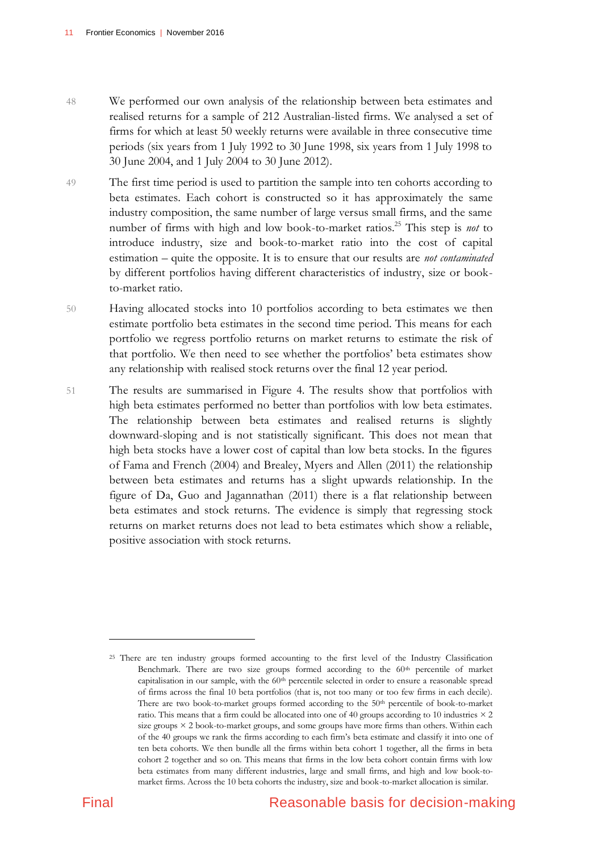- 48 We performed our own analysis of the relationship between beta estimates and realised returns for a sample of 212 Australian-listed firms. We analysed a set of firms for which at least 50 weekly returns were available in three consecutive time periods (six years from 1 July 1992 to 30 June 1998, six years from 1 July 1998 to 30 June 2004, and 1 July 2004 to 30 June 2012).
- 49 The first time period is used to partition the sample into ten cohorts according to beta estimates. Each cohort is constructed so it has approximately the same industry composition, the same number of large versus small firms, and the same number of firms with high and low book-to-market ratios.<sup>25</sup> This step is *not* to introduce industry, size and book-to-market ratio into the cost of capital estimation – quite the opposite. It is to ensure that our results are *not contaminated* by different portfolios having different characteristics of industry, size or bookto-market ratio.
- 50 Having allocated stocks into 10 portfolios according to beta estimates we then estimate portfolio beta estimates in the second time period. This means for each portfolio we regress portfolio returns on market returns to estimate the risk of that portfolio. We then need to see whether the portfolios' beta estimates show any relationship with realised stock returns over the final 12 year period.
- 51 The results are summarised in Figure 4. The results show that portfolios with high beta estimates performed no better than portfolios with low beta estimates. The relationship between beta estimates and realised returns is slightly downward-sloping and is not statistically significant. This does not mean that high beta stocks have a lower cost of capital than low beta stocks. In the figures of Fama and French (2004) and Brealey, Myers and Allen (2011) the relationship between beta estimates and returns has a slight upwards relationship. In the figure of Da, Guo and Jagannathan (2011) there is a flat relationship between beta estimates and stock returns. The evidence is simply that regressing stock returns on market returns does not lead to beta estimates which show a reliable, positive association with stock returns.

<sup>&</sup>lt;sup>25</sup> There are ten industry groups formed accounting to the first level of the Industry Classification Benchmark. There are two size groups formed according to the 60th percentile of market capitalisation in our sample, with the 60<sup>th</sup> percentile selected in order to ensure a reasonable spread of firms across the final 10 beta portfolios (that is, not too many or too few firms in each decile). There are two book-to-market groups formed according to the 50<sup>th</sup> percentile of book-to-market ratio. This means that a firm could be allocated into one of 40 groups according to 10 industries × 2 size groups  $\times$  2 book-to-market groups, and some groups have more firms than others. Within each of the 40 groups we rank the firms according to each firm's beta estimate and classify it into one of ten beta cohorts. We then bundle all the firms within beta cohort 1 together, all the firms in beta cohort 2 together and so on. This means that firms in the low beta cohort contain firms with low beta estimates from many different industries, large and small firms, and high and low book-tomarket firms. Across the 10 beta cohorts the industry, size and book-to-market allocation is similar.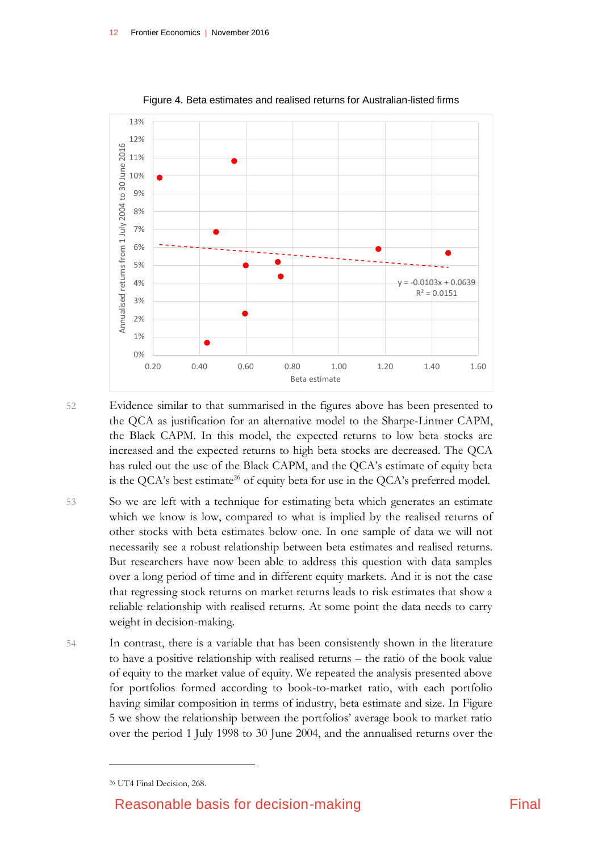<span id="page-19-0"></span>

Figure 4. Beta estimates and realised returns for Australian-listed firms

52 Evidence similar to that summarised in the figures above has been presented to the QCA as justification for an alternative model to the Sharpe-Lintner CAPM, the Black CAPM. In this model, the expected returns to low beta stocks are increased and the expected returns to high beta stocks are decreased. The QCA has ruled out the use of the Black CAPM, and the QCA's estimate of equity beta is the QCA's best estimate<sup>26</sup> of equity beta for use in the QCA's preferred model.

- 53 So we are left with a technique for estimating beta which generates an estimate which we know is low, compared to what is implied by the realised returns of other stocks with beta estimates below one. In one sample of data we will not necessarily see a robust relationship between beta estimates and realised returns. But researchers have now been able to address this question with data samples over a long period of time and in different equity markets. And it is not the case that regressing stock returns on market returns leads to risk estimates that show a reliable relationship with realised returns. At some point the data needs to carry weight in decision-making.
- 54 In contrast, there is a variable that has been consistently shown in the literature to have a positive relationship with realised returns – the ratio of the book value of equity to the market value of equity. We repeated the analysis presented above for portfolios formed according to book-to-market ratio, with each portfolio having similar composition in terms of industry, beta estimate and size. In Figure 5 we show the relationship between the portfolios' average book to market ratio over the period 1 July 1998 to 30 June 2004, and the annualised returns over the

<sup>26</sup> UT4 Final Decision, 268.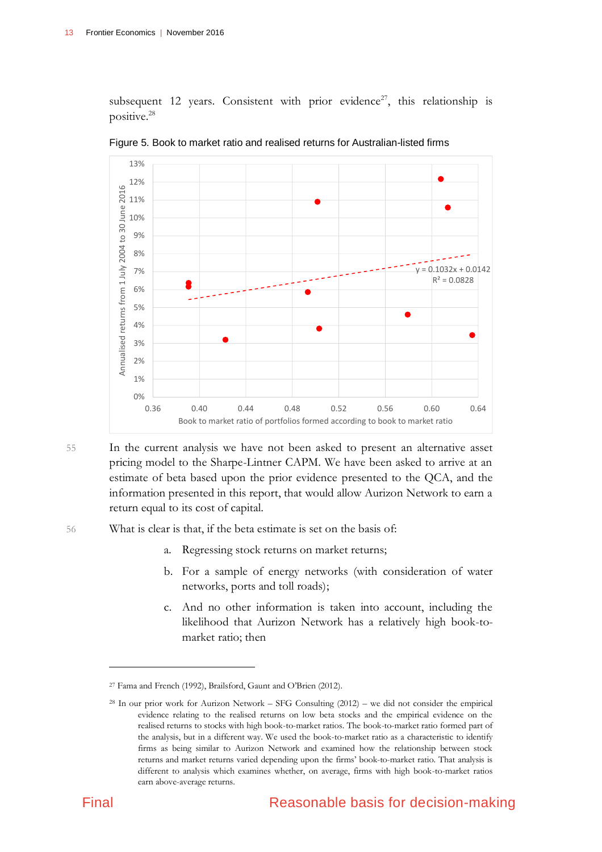subsequent 12 years. Consistent with prior evidence<sup>27</sup>, this relationship is positive.<sup>28</sup>



<span id="page-20-0"></span>Figure 5. Book to market ratio and realised returns for Australian-listed firms

55 In the current analysis we have not been asked to present an alternative asset pricing model to the Sharpe-Lintner CAPM. We have been asked to arrive at an estimate of beta based upon the prior evidence presented to the QCA, and the information presented in this report, that would allow Aurizon Network to earn a return equal to its cost of capital.

56 What is clear is that, if the beta estimate is set on the basis of:

- a. Regressing stock returns on market returns;
- b. For a sample of energy networks (with consideration of water networks, ports and toll roads);
- c. And no other information is taken into account, including the likelihood that Aurizon Network has a relatively high book-tomarket ratio; then

<sup>27</sup> Fama and French (1992), Brailsford, Gaunt and O'Brien (2012).

<sup>28</sup> In our prior work for Aurizon Network – SFG Consulting (2012) – we did not consider the empirical evidence relating to the realised returns on low beta stocks and the empirical evidence on the realised returns to stocks with high book-to-market ratios. The book-to-market ratio formed part of the analysis, but in a different way. We used the book-to-market ratio as a characteristic to identify firms as being similar to Aurizon Network and examined how the relationship between stock returns and market returns varied depending upon the firms' book-to-market ratio. That analysis is different to analysis which examines whether, on average, firms with high book-to-market ratios earn above-average returns.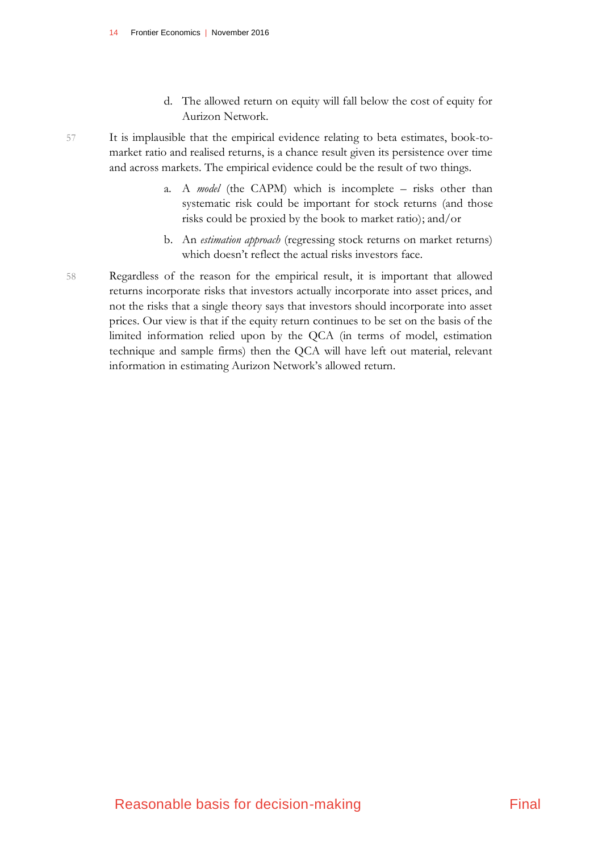d. The allowed return on equity will fall below the cost of equity for Aurizon Network.

- 57 It is implausible that the empirical evidence relating to beta estimates, book-tomarket ratio and realised returns, is a chance result given its persistence over time and across markets. The empirical evidence could be the result of two things.
	- a. A *model* (the CAPM) which is incomplete risks other than systematic risk could be important for stock returns (and those risks could be proxied by the book to market ratio); and/or
	- b. An *estimation approach* (regressing stock returns on market returns) which doesn't reflect the actual risks investors face.
- 58 Regardless of the reason for the empirical result, it is important that allowed returns incorporate risks that investors actually incorporate into asset prices, and not the risks that a single theory says that investors should incorporate into asset prices. Our view is that if the equity return continues to be set on the basis of the limited information relied upon by the QCA (in terms of model, estimation technique and sample firms) then the QCA will have left out material, relevant information in estimating Aurizon Network's allowed return.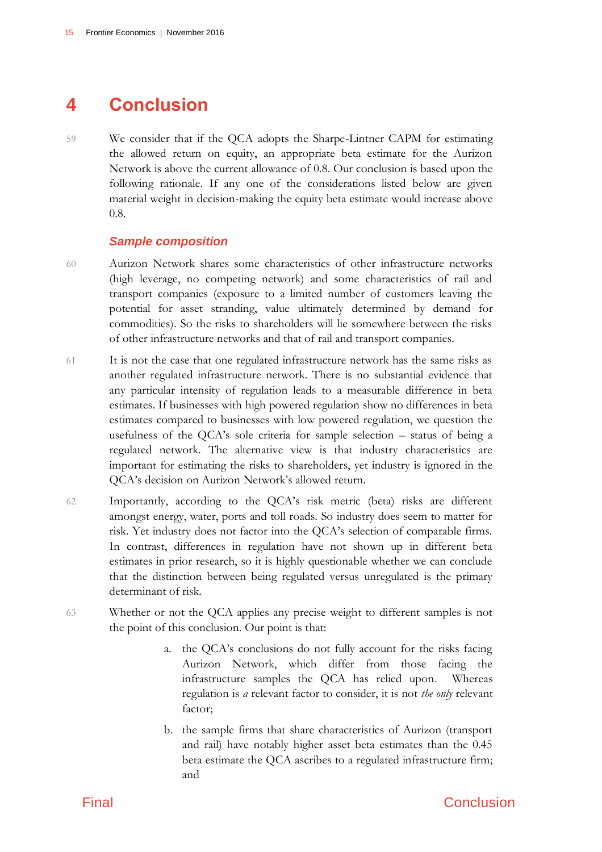### <span id="page-22-0"></span>**4 Conclusion**

59 We consider that if the QCA adopts the Sharpe-Lintner CAPM for estimating the allowed return on equity, an appropriate beta estimate for the Aurizon Network is above the current allowance of 0.8. Our conclusion is based upon the following rationale. If any one of the considerations listed below are given material weight in decision-making the equity beta estimate would increase above 0.8.

#### *Sample composition*

- 60 Aurizon Network shares some characteristics of other infrastructure networks (high leverage, no competing network) and some characteristics of rail and transport companies (exposure to a limited number of customers leaving the potential for asset stranding, value ultimately determined by demand for commodities). So the risks to shareholders will lie somewhere between the risks of other infrastructure networks and that of rail and transport companies.
- 61 It is not the case that one regulated infrastructure network has the same risks as another regulated infrastructure network. There is no substantial evidence that any particular intensity of regulation leads to a measurable difference in beta estimates. If businesses with high powered regulation show no differences in beta estimates compared to businesses with low powered regulation, we question the usefulness of the QCA's sole criteria for sample selection – status of being a regulated network. The alternative view is that industry characteristics are important for estimating the risks to shareholders, yet industry is ignored in the QCA's decision on Aurizon Network's allowed return.
- 62 Importantly, according to the QCA's risk metric (beta) risks are different amongst energy, water, ports and toll roads. So industry does seem to matter for risk. Yet industry does not factor into the QCA's selection of comparable firms. In contrast, differences in regulation have not shown up in different beta estimates in prior research, so it is highly questionable whether we can conclude that the distinction between being regulated versus unregulated is the primary determinant of risk.
- 63 Whether or not the QCA applies any precise weight to different samples is not the point of this conclusion. Our point is that:
	- a. the QCA's conclusions do not fully account for the risks facing Aurizon Network, which differ from those facing the infrastructure samples the QCA has relied upon. Whereas regulation is *a* relevant factor to consider, it is not *the only* relevant factor;
	- b. the sample firms that share characteristics of Aurizon (transport and rail) have notably higher asset beta estimates than the 0.45 beta estimate the QCA ascribes to a regulated infrastructure firm; and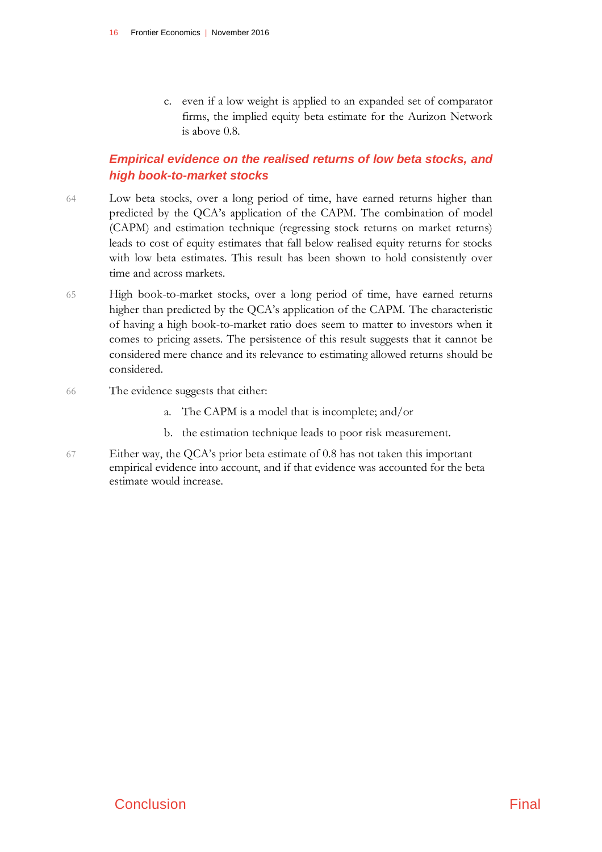c. even if a low weight is applied to an expanded set of comparator firms, the implied equity beta estimate for the Aurizon Network is above 0.8.

### *Empirical evidence on the realised returns of low beta stocks, and high book-to-market stocks*

- 64 Low beta stocks, over a long period of time, have earned returns higher than predicted by the QCA's application of the CAPM. The combination of model (CAPM) and estimation technique (regressing stock returns on market returns) leads to cost of equity estimates that fall below realised equity returns for stocks with low beta estimates. This result has been shown to hold consistently over time and across markets.
- 65 High book-to-market stocks, over a long period of time, have earned returns higher than predicted by the QCA's application of the CAPM. The characteristic of having a high book-to-market ratio does seem to matter to investors when it comes to pricing assets. The persistence of this result suggests that it cannot be considered mere chance and its relevance to estimating allowed returns should be considered.
- 66 The evidence suggests that either:
	- a. The CAPM is a model that is incomplete; and/or
	- b. the estimation technique leads to poor risk measurement.
- 67 Either way, the QCA's prior beta estimate of 0.8 has not taken this important empirical evidence into account, and if that evidence was accounted for the beta estimate would increase.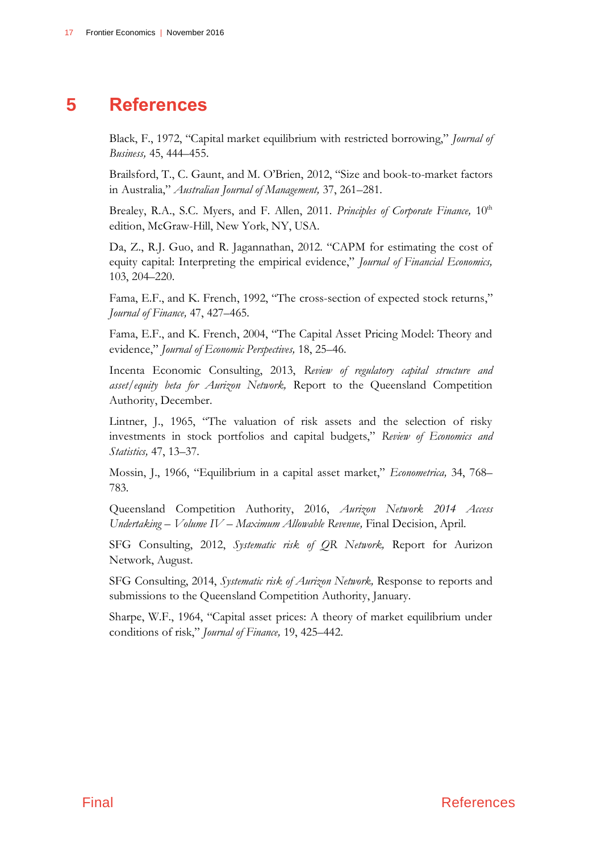### **5 References**

<span id="page-24-0"></span>Black, F., 1972, "Capital market equilibrium with restricted borrowing," *Journal of Business,* 45, 444–455.

Brailsford, T., C. Gaunt, and M. O'Brien, 2012, "Size and book-to-market factors in Australia," *Australian Journal of Management,* 37, 261–281.

Brealey, R.A., S.C. Myers, and F. Allen, 2011. *Principles of Corporate Finance*, 10<sup>th</sup> edition, McGraw-Hill, New York, NY, USA.

Da, Z., R.J. Guo, and R. Jagannathan, 2012. "CAPM for estimating the cost of equity capital: Interpreting the empirical evidence," *Journal of Financial Economics,*  103, 204–220.

Fama, E.F., and K. French, 1992, "The cross-section of expected stock returns," *Journal of Finance,* 47, 427–465.

Fama, E.F., and K. French, 2004, "The Capital Asset Pricing Model: Theory and evidence," *Journal of Economic Perspectives,* 18, 25–46.

Incenta Economic Consulting, 2013, *Review of regulatory capital structure and asset/equity beta for Aurizon Network,* Report to the Queensland Competition Authority, December.

Lintner, J., 1965, "The valuation of risk assets and the selection of risky investments in stock portfolios and capital budgets," *Review of Economics and Statistics,* 47, 13–37.

Mossin, J., 1966, "Equilibrium in a capital asset market," *Econometrica,* 34, 768– 783.

Queensland Competition Authority, 2016, *Aurizon Network 2014 Access Undertaking – Volume IV – Maximum Allowable Revenue,* Final Decision, April.

SFG Consulting, 2012, *Systematic risk of QR Network,* Report for Aurizon Network, August.

SFG Consulting, 2014, *Systematic risk of Aurizon Network,* Response to reports and submissions to the Queensland Competition Authority, January.

Sharpe, W.F., 1964, "Capital asset prices: A theory of market equilibrium under conditions of risk," *Journal of Finance,* 19, 425–442.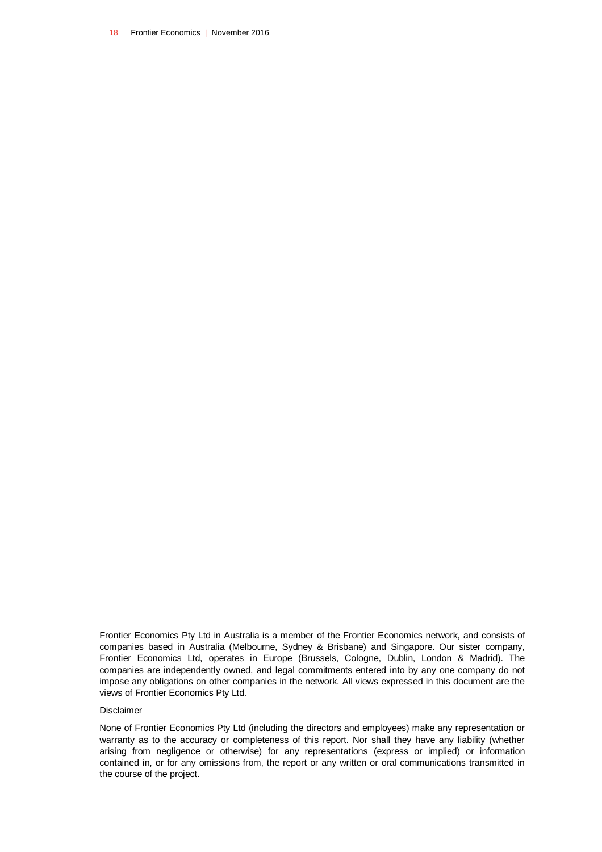18 Frontier Economics | November 2016

Frontier Economics Pty Ltd in Australia is a member of the Frontier Economics network, and consists of companies based in Australia (Melbourne, Sydney & Brisbane) and Singapore. Our sister company, Frontier Economics Ltd, operates in Europe (Brussels, Cologne, Dublin, London & Madrid). The companies are independently owned, and legal commitments entered into by any one company do not impose any obligations on other companies in the network. All views expressed in this document are the views of Frontier Economics Pty Ltd.

#### Disclaimer

None of Frontier Economics Pty Ltd (including the directors and employees) make any representation or warranty as to the accuracy or completeness of this report. Nor shall they have any liability (whether arising from negligence or otherwise) for any representations (express or implied) or information contained in, or for any omissions from, the report or any written or oral communications transmitted in the course of the project.